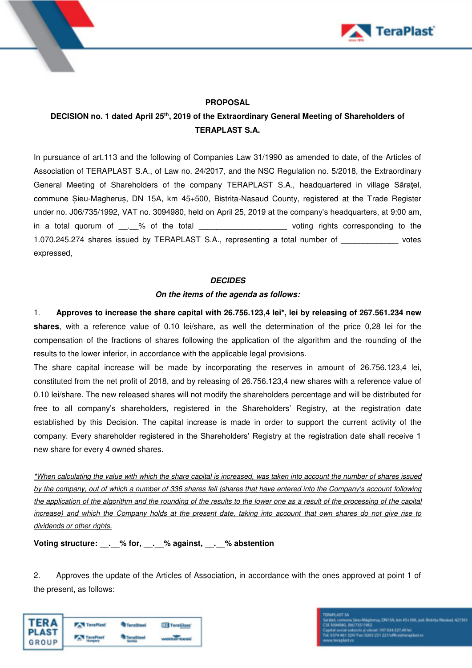



### **PROPOSAL**

## **DECISION no. 1 dated April 25th, 2019 of the Extraordinary General Meeting of Shareholders of TERAPLAST S.A.**

In pursuance of art.113 and the following of Companies Law 31/1990 as amended to date, of the Articles of Association of TERAPLAST S.A., of Law no. 24/2017, and the NSC Regulation no. 5/2018, the Extraordinary General Meeting of Shareholders of the company TERAPLAST S.A., headquartered in village Săraţel, commune Șieu-Magheruș, DN 15A, km 45+500, Bistrita-Nasaud County, registered at the Trade Register under no. J06/735/1992, VAT no. 3094980, held on April 25, 2019 at the company's headquarters, at 9:00 am, in a total quorum of \_\_\_\_% of the total \_\_\_\_\_\_\_\_\_\_\_\_\_\_\_\_\_\_\_\_\_\_\_\_\_voting rights corresponding to the 1.070.245.274 shares issued by TERAPLAST S.A., representing a total number of votes expressed,

#### **DECIDES**

#### **On the items of the agenda as follows:**

1. **Approves to increase the share capital with 26.756.123,4 lei\*, lei by releasing of 267.561.234 new shares**, with a reference value of 0.10 lei/share, as well the determination of the price 0,28 lei for the compensation of the fractions of shares following the application of the algorithm and the rounding of the results to the lower inferior, in accordance with the applicable legal provisions.

The share capital increase will be made by incorporating the reserves in amount of 26.756.123,4 lei, constituted from the net profit of 2018, and by releasing of 26.756.123,4 new shares with a reference value of 0.10 lei/share. The new released shares will not modify the shareholders percentage and will be distributed for free to all company's shareholders, registered in the Shareholders' Registry, at the registration date established by this Decision. The capital increase is made in order to support the current activity of the company. Every shareholder registered in the Shareholders' Registry at the registration date shall receive 1 new share for every 4 owned shares.

\*When calculating the value with which the share capital is increased, was taken into account the number of shares issued by the company, out of which a number of 336 shares fell (shares that have entered into the Company's account following the application of the algorithm and the rounding of the results to the lower one as a result of the processing of the capital increase) and which the Company holds at the present date, taking into account that own shares do not give rise to dividends or other rights.

**Voting structure: \_\_.\_\_% for, \_\_.\_\_% against, \_\_.\_\_% abstention**

2. Approves the update of the Articles of Association, in accordance with the ones approved at point 1 of the present, as follows:



rus, CR115A, Javi 45+500, just Bistrita Nissland, 427301 eu-magnerus, urei 5n, km 454 500, juos<br>135/1992<br>ois și vărsat: 107.034.527,401ei<br>Fao: 0363 231 221/office@teraplast.ro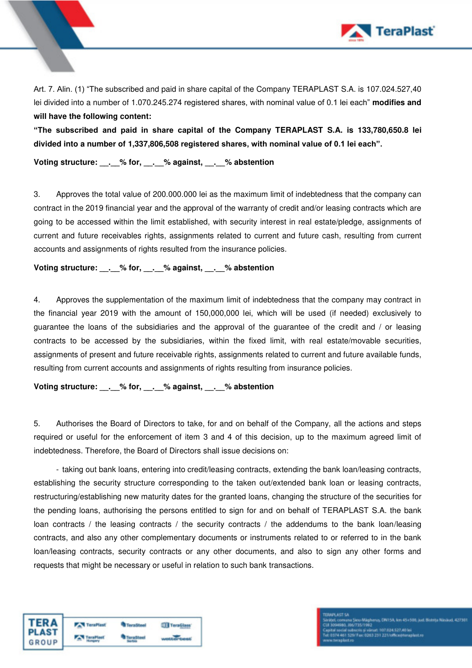

Art. 7. Alin. (1) "The subscribed and paid in share capital of the Company TERAPLAST S.A. is 107.024.527,40 lei divided into a number of 1.070.245.274 registered shares, with nominal value of 0.1 lei each" **modifies and will have the following content:** 

**"The subscribed and paid in share capital of the Company TERAPLAST S.A. is 133,780,650.8 lei divided into a number of 1,337,806,508 registered shares, with nominal value of 0.1 lei each".**

**Voting structure: \_\_.\_\_% for, \_\_.\_\_% against, \_\_.\_\_% abstention**

3. Approves the total value of 200.000.000 lei as the maximum limit of indebtedness that the company can contract in the 2019 financial year and the approval of the warranty of credit and/or leasing contracts which are going to be accessed within the limit established, with security interest in real estate/pledge, assignments of current and future receivables rights, assignments related to current and future cash, resulting from current accounts and assignments of rights resulted from the insurance policies.

**Voting structure: \_\_.\_\_% for, \_\_.\_\_% against, \_\_.\_\_% abstention**

4. Approves the supplementation of the maximum limit of indebtedness that the company may contract in the financial year 2019 with the amount of 150,000,000 lei, which will be used (if needed) exclusively to guarantee the loans of the subsidiaries and the approval of the guarantee of the credit and / or leasing contracts to be accessed by the subsidiaries, within the fixed limit, with real estate/movable securities, assignments of present and future receivable rights, assignments related to current and future available funds, resulting from current accounts and assignments of rights resulting from insurance policies.

**Voting structure: \_\_.\_\_% for, \_\_.\_\_% against, \_\_.\_\_% abstention** 

5. Authorises the Board of Directors to take, for and on behalf of the Company, all the actions and steps required or useful for the enforcement of item 3 and 4 of this decision, up to the maximum agreed limit of indebtedness. Therefore, the Board of Directors shall issue decisions on:

- taking out bank loans, entering into credit/leasing contracts, extending the bank loan/leasing contracts, establishing the security structure corresponding to the taken out/extended bank loan or leasing contracts, restructuring/establishing new maturity dates for the granted loans, changing the structure of the securities for the pending loans, authorising the persons entitled to sign for and on behalf of TERAPLAST S.A. the bank loan contracts / the leasing contracts / the security contracts / the addendums to the bank loan/leasing contracts, and also any other complementary documents or instruments related to or referred to in the bank loan/leasing contracts, security contracts or any other documents, and also to sign any other forms and requests that might be necessary or useful in relation to such bank transactions.

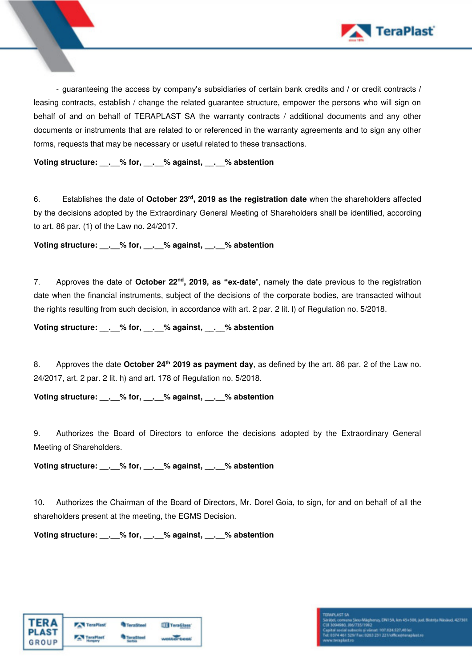

- guaranteeing the access by company's subsidiaries of certain bank credits and / or credit contracts / leasing contracts, establish / change the related guarantee structure, empower the persons who will sign on behalf of and on behalf of TERAPLAST SA the warranty contracts / additional documents and any other documents or instruments that are related to or referenced in the warranty agreements and to sign any other forms, requests that may be necessary or useful related to these transactions.

**Voting structure: \_\_.\_\_% for, \_\_.\_\_% against, \_\_.\_\_% abstention** 

6. Establishes the date of **October 23rd, 2019 as the registration date** when the shareholders affected by the decisions adopted by the Extraordinary General Meeting of Shareholders shall be identified, according to art. 86 par. (1) of the Law no. 24/2017.

**Voting structure: \_\_.\_\_% for, \_\_.\_\_% against, \_\_.\_\_% abstention** 

7. Approves the date of **October 22nd, 2019, as "ex-date**", namely the date previous to the registration date when the financial instruments, subject of the decisions of the corporate bodies, are transacted without the rights resulting from such decision, in accordance with art. 2 par. 2 lit. l) of Regulation no. 5/2018.

**Voting structure: \_\_.\_\_% for, \_\_.\_\_% against, \_\_.\_\_% abstention** 

8. Approves the date **October 24th 2019 as payment day**, as defined by the art. 86 par. 2 of the Law no. 24/2017, art. 2 par. 2 lit. h) and art. 178 of Regulation no. 5/2018.

**Voting structure: \_\_.\_\_% for, \_\_.\_\_% against, \_\_.\_\_% abstention** 

9. Authorizes the Board of Directors to enforce the decisions adopted by the Extraordinary General Meeting of Shareholders.

**Voting structure: \_\_.\_\_% for, \_\_.\_\_% against, \_\_.\_\_% abstention** 

10. Authorizes the Chairman of the Board of Directors, Mr. Dorel Goia, to sign, for and on behalf of all the shareholders present at the meeting, the EGMS Decision.

**Voting structure: \_\_.\_\_% for, \_\_.\_\_% against, \_\_.\_\_% abstention** 

| <b>TERA</b><br>PLAST<br>GROUP | <b>TeraPlast</b> | <b>TeraSteel</b> | TeraGlass |
|-------------------------------|------------------|------------------|-----------|
|                               |                  |                  |           |

# u magnerus, unu on, em 404 200, jun<br>Is și vărțat: 107 034,527,40 lei<br>ac: 0353 251 221/office@teraplast.ro